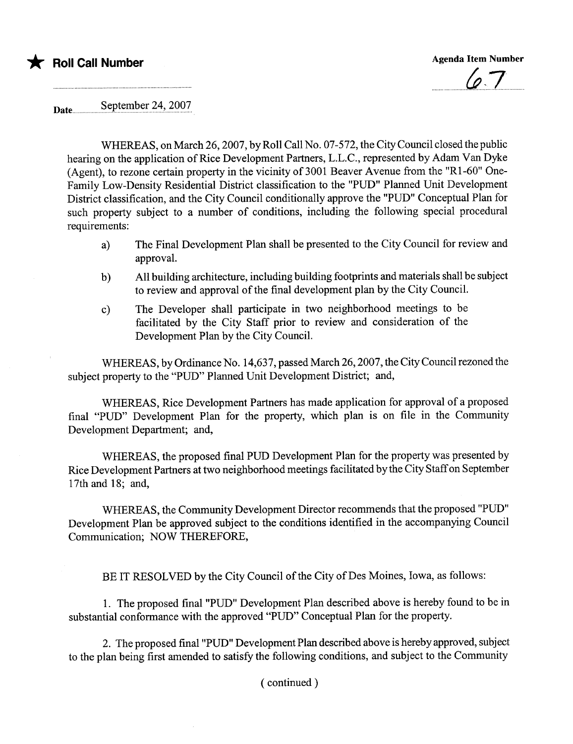

 $67$ 

Date.... ..s~pt~~p.~r.u~.~.'u~.9.9?

WHEREAS, on March 26,2007, by Roll Call No. 07-572, the City Council closed the public hearing on the application of Rice Development Partners, L.L.C., represented by Adam Van Dyke (Agent), to rezone certain property in the vicinity of 3001 Beaver Avenue from the "R1-60" One-Family Low-Density Residential District classification to the "PUD" Planed Unit Development District classification, and the City Council conditionally approve the "PUD" Conceptual Plan for such property subject to a number of conditions, including the following special procedural requirements:

- a) The Final Development Plan shall be presented to the City Council for review and approvaL.
- b) All building architecture, including building footprints and materials shall be subject to review and approval of the final development plan by the City CounciL.
- c) The Developer shall paricipate in two neighborhood meetings to be facilitated by the City Staff prior to review and consideration of the Development Plan by the City CounciL.

WHEREAS, by Ordinance No. 14,637, passed March 26, 2007, the City Council rezoned the subject property to the "PUD" Planned Unit Development District; and,

WHEREAS, Rice Development Partners has made application for approval of a proposed final "PUD" Development Plan for the property, which plan is on fie in the Community Development Department; and,

WHEREAS, the proposed final PUD Development Plan for the property was presented by Rice Development Partners at two neighborhood meetings facilitated by the City Staff on September 17th and 18; and,

WHEREAS, the Community Development Director recommends that the proposed "PUD" Development Plan be approved subject to the conditions identified in the accompanying Council Communication; NOW THEREFORE,

BE IT RESOLVED by the City Council of the City of Des Moines, Iowa, as follows:

1. The proposed final "PUD" Development Plan described above is hereby found to be in substantial conformance with the approved "PUD" Conceptual Plan for the property.

2. The proposed final "PUD" Development Plan described above is hereby approved, subject to the plan being first amended to satisfy the following conditions, and subject to the Community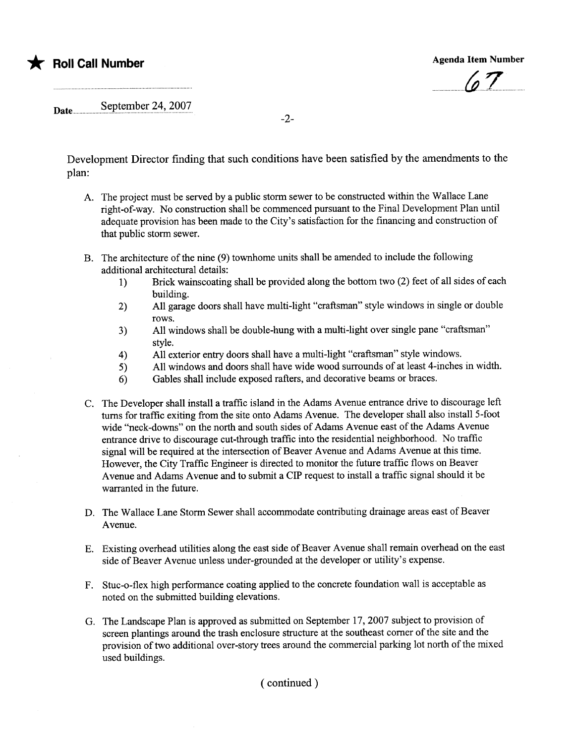## \* Roll Call Number Agenda Item Number Agenda Item Number

 $\sqrt{aT}$ 

## Date September 24, 2007

Development Director finding that such conditions have been satisfied by the amendments to the plan:

-2-

- A. The project must be served by a public storm sewer to be constructed within the Wallace Lane right-of-way. No construction shall be commenced pursuant to the Final Development Plan until adequate provision has been made to the City's satisfaction for the financing and construction of that public storm sewer.
- B. The architecture of the nine (9) townhome units shall be amended to include the following additional architectural details:
	- 1) Brick wains coating shall be provided along the bottom two (2) feet of all sides of each building.
	- 2) All garage doors shall have multi-light "craftsman" style windows in single or double rows.
	- 3) All windows shall be double-hung with a multi-light over single pane "craftsman" style.
	- 4) All exterior entry doors shall have a multi-light "craftsman" style windows.
	- 5) All windows and doors shall have wide wood surrounds of at least 4-inches in width.
	- 6) Gables shall include exposed rafters, and decorative beams or braces.
- C. The Developer shall install a traffic island in the Adams Avenue entrance drive to discourage left turns for traffic exiting from the site onto Adams Avenue. The developer shall also install 5-foot wide "neck-downs" on the north and south sides of Adams Avenue east of the Adams Avenue entrance drive to discourage cut-through traffic into the residential neighborhood. No traffc signal will be required at the intersection of Beaver Avenue and Adams Avenue at this time. However, the City Traffc Engineer is directed to monitor the future traffic flows on Beaver Avenue and Adams Avenue and to submit a CIP request to install a traffic signal should it be warranted in the future.
- D. The Wallace Lane Storm Sewer shall accommodate contributing drainage areas east of Beaver Avenue.
- E. Existing overhead utilties along the east side of Beaver Avenue shall remain overhead on the east side of Beaver Avenue unless under-grounded at the developer or utility's expense.
- F. Stuc-o-flex high performance coating applied to the concrete foundation wall is acceptable as noted on the submitted building elevations.
- G. The Landscape Plan is approved as submitted on September 17,2007 subject to provision of screen plantings around the trash enclosure structure at the southeast corner of the site and the provision of two additional over-story trees around the commercial parking lot north of the mixed used buildings.

( continued)